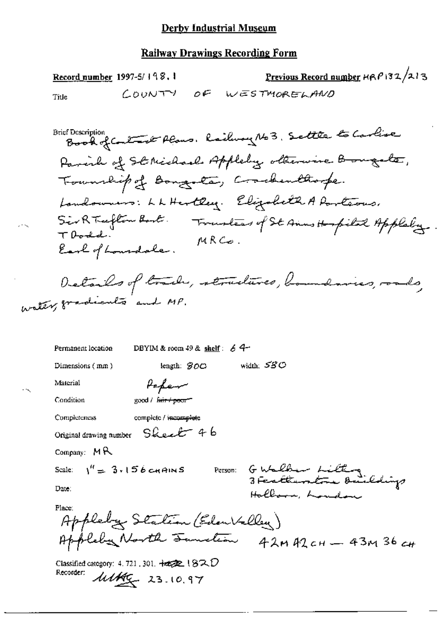Previous Record number HRP132/213 Record number 1997-5/198.1 COUNTY OF WESTMORELAND Title

Book of Contract Plans, Railway No 3, Settle to Carlise **Brief Description** Parish of St Michael Appleby otherwise Bougate, Township of Bongota, Crackenthoope. Landowners: LLHertley. Elizabeth A Particus. Sir RTufton Bort. Trustees of St Anns Hospital Appleby TDodd.  $MRC$ o. Earl of Lourdale.

Details of track, structures, boundaries, roads, water, gradients and MP.

DBYIM & room 49 & shelf:  $64$ Permanent location width: 580 Dimensions (mm) length:  $300$ Material Popen Condition good / fair / poor Completeness complete / incomplete  $S$ heeb 46 Original drawing number Company:  $M$ <sup> $R$ </sup> GWalber Litting<br>3 Fertlembre Buildigs Scale:  $\frac{1}{1}$  = 3.156 cHAINS Person: Date: Hollow, London Place: Appleby Station (EdenValley) Appleby North Junction 42MA2CH - 43M36CH Classified category: 4, 721, 301,  $\frac{1}{4}$   $\frac{1}{2}$  ( $\frac{1}{2}$   $\sqrt{2}$ ) Recorder:  $\frac{\text{111}}{4}$  23.10.97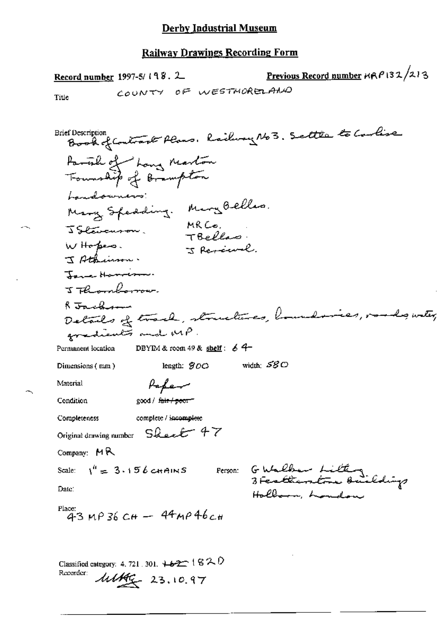Ц.

Previous Record number  $\kappa \kappa \rho$  132/213 Record number 1997-5/198.2 COUNTY OF WESTMORELATION Title Book of Contract Plans, Railway 163. Settle to Carlise **Brief Description** Partik of hong Marton Landowners: Many Speeding. Mary Belles. MRCO.<br>TBellas JStavanson. W Hopes. I Revenuel J Athinson. Jane Harrison. J Thomborow. R Jackson " vacamente et al. structures, houndaries, vordes with, gradients and MP. DBYIM & room 49 & shelf:  $64$ Permanent location width:  $\mathcal{SGO}$ length:  $900$ Dimensions (mm) Paper Material good / fair / poor" Condition complete / incomplete Completeness Original drawing number Sheet 47 Company:  $MR$ Scale:  $1'' = 3.156$  cHAINS Ferson: GWalker Litting Date: Hollarn, London Place: \_\_<br>43 мр 36 сн — 44мр 46 сн Classified category: 4, 721, 301,  $+62$   $+62$ Recorder:

 $\frac{\text{111}}{40}$  23.10.97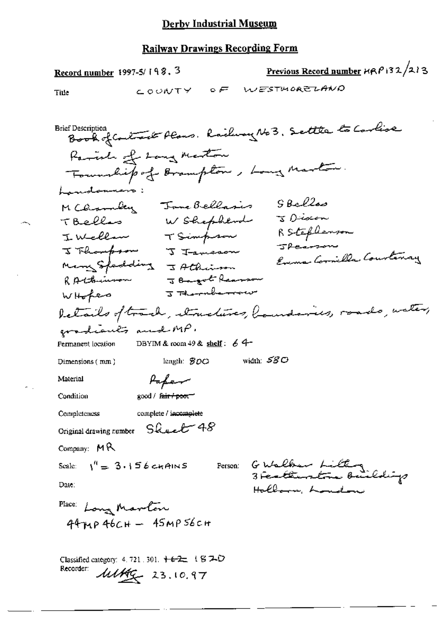## Derby Industrial Museum

### **Railway Drawings Recording Form**

Previous Record number HRP132/213 Record number 1997-5/198.3 COUNTY OF WESTMORELAND Title Book of Contract Plans, Rachway No3, Settle to Corlise **Brief Description** Ramida of Lang Marton Township of Brampton, Long Marton Lamotommen MCarmbey Jane Bellasis SBellos W Shephend J Discon TBelles Inclement Simpson RStephenson J Flompson J Jameson Evens Cornilla Courtenay Many Spedding J Athinson J Bargot Reason RAthermon WHokes I Thermberrow letails of track, structures, houndaries, roads, water, gradiants and MP. Permanent location DBYIM & room 49 & shelf:  $64$ length:  $$00$  width:  $$80$ Dimensions (mm) Paper Material good / fair / poor Condition complete / incomplete Completeness Original drawing number Sheet 48 Company:  $MR$ G Walker Litting<br>3 Fertiunton Buildigs Scale:  $1^4 = 3.156$  chains Person: Date: Hollow, London Place: Long Marlon  $44\mu$ p  $46cH - 45MP56cH$ 

Recorder:

 $\mu$ 14  $\mu$  23.10.97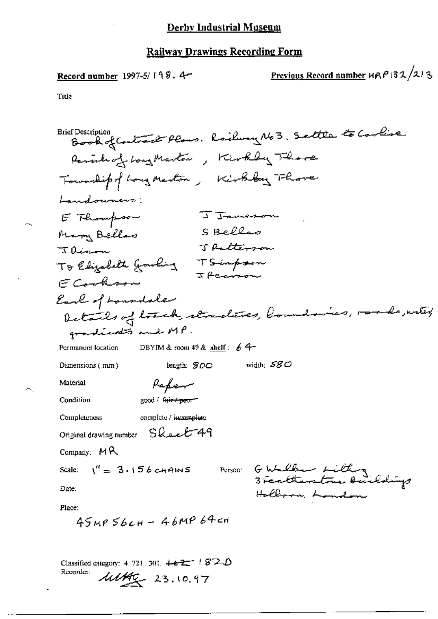Record number 1997-5/198.4-

Previous Record number 
$$
MRP132/213
$$

Title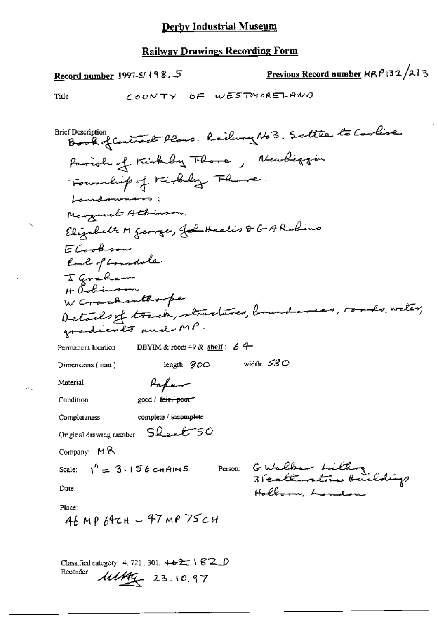Previous Record number HRP132/213 Record number 1997-5/198.5 COUNTY OF WESTMORELAND Title Book of Contract Plans. Railway No3. Settle to Carlise **Brief Description** Parish of Kirkely Thore, Newliggin Foundity of rightly Flore. Lamdonnano; Margaret Athinson, Elizabeth M george, John Healis & G. A Robins ECookson last of Loundale I graham H Oslimson<br>W Crachanthorpe Details of track, stractures, boundaries, roads, water, gradients and MP. DBYIM & room 49 & shelf:  $64$ Permanent location width:  $530^{\circ}$ length: 300 Dimensions  $($  mm $)$ Papen Material good / fair / poor" Condition complete / incomplete Completeness Original drawing number Sheet 50 Company:  $MR$ Person: Gutalban Litting Scale:  $\sqrt{n} = 3.156$  chains Date: Hollern London Place: 46 MP 64CH - 47 MP 75CH Classified category: 4, 721, 301,  $+ 22 + 182 = 0$ Recorder:

 $\frac{\text{111}}{40}$  23.10.97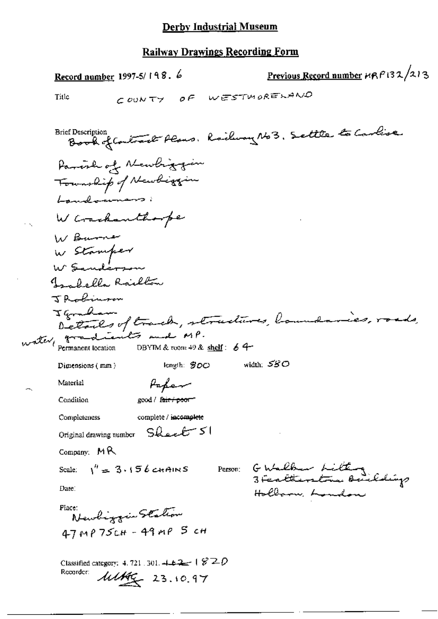|       | Previous Record number HRP132/213<br>Record number, 1997-5/198. 6                                                                                                                                |
|-------|--------------------------------------------------------------------------------------------------------------------------------------------------------------------------------------------------|
|       | COUNTY OF WESTWORELAND<br>Title                                                                                                                                                                  |
|       | Book of Contract Plans, Railway No 3, Settle to Carlise<br><b>Brief Description</b>                                                                                                              |
|       | Parente of Newbritism<br>Township of Newbiggin                                                                                                                                                   |
|       | Landonnars:<br>W Crackanthoope                                                                                                                                                                   |
|       | W Burner<br>W Stamper<br>W Sanderson                                                                                                                                                             |
|       | Isabella Railton                                                                                                                                                                                 |
| water | Jackinson<br>Igraham<br>Details of track, structures, loundaries, roads,<br>$q \rightarrow \text{constant}$ mad $M P$ .<br>Permanent location DBYTM & room 49 &<br>DBYIM & room 49 & shelf: $64$ |
|       | width: $580$<br>length: $300$<br>Dimensions (mm)                                                                                                                                                 |
|       | Material<br>Papen<br>Condition<br>good / f <del>air / poor</del>                                                                                                                                 |
|       | <b>Completeness</b><br>complete / incomplete                                                                                                                                                     |
|       | Original drawing number Sheet 51                                                                                                                                                                 |
|       | Company: $M \mathcal{R}$                                                                                                                                                                         |
|       | GWalbur Litting<br>3 Feattierstra Buildigs<br>Scale: $\sqrt{4} = 3.156$ c+t AINS<br>Person:                                                                                                      |
|       | Date:<br>Hollarn, London                                                                                                                                                                         |
|       | Place:<br>Newliggin Station                                                                                                                                                                      |
|       | 47 MP 75CH - 49 MP 5 CH                                                                                                                                                                          |
|       | Classified category: 4, 721, 301, $4.42 - 1820$<br>Recorder:<br>$\frac{\mu\mu}{2}$ 23.10.97                                                                                                      |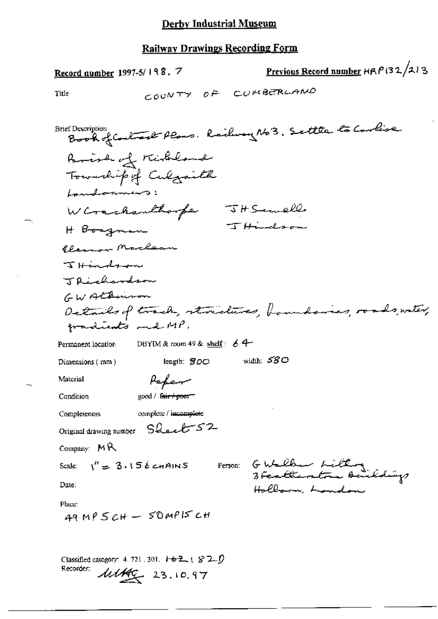Record number 1997-5/198. 7

Previous Record number HRP132/213

Title

Recorder:

 $\frac{\text{11149}}{4}$  23.10.97

Brief Description Book of Contract Plans. Railway No 3. Settle to Carlise Parish of Kirkeland Township of Culgarith Landonners: W Crachanthorpe JH Servell JHindson H Boagman Clair Marlean  $\tau$   $\tau$   $\tau$   $\tau$   $\tau$   $\tau$ TRichardson GWALBernon Details of touch, structures, boundaries, roads, witer, gradients and MP. Permanent location DBYIM & room 49 & shelf:  $64$ width:  $530$ length: 800 Dimensions (mm) Peper Material good / fairripoor Condition complete / incomplete Completeness Original drawing number Sharet 52 Company:  $MR$ Person: GWalker Litting Scale:  $\sqrt{n} = 3.156$  chains Date: Hallarm, Landon Place:  $49MP5CH - SDMPISCH$ Classified category: 4, 721, 301,  $\mathbf{1} \oplus \mathbf{2}$ ,  $\mathbf{1} \otimes \mathbf{2}$ ,  $\mathbf{0}$